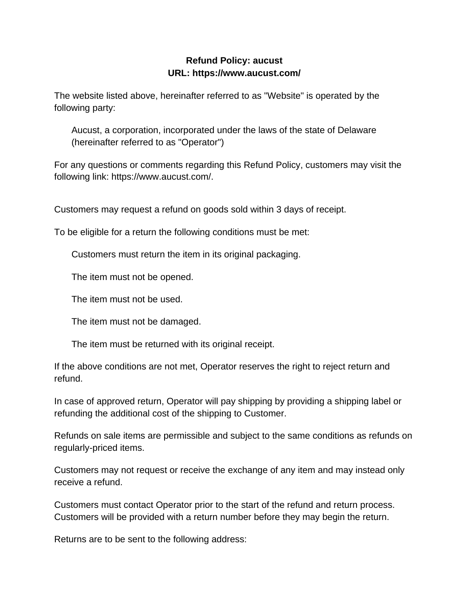## **Refund Policy: aucust URL: https://www.aucust.com/**

The website listed above, hereinafter referred to as "Website" is operated by the following party:

Aucust, a corporation, incorporated under the laws of the state of Delaware (hereinafter referred to as "Operator")

For any questions or comments regarding this Refund Policy, customers may visit the following link: https://www.aucust.com/.

Customers may request a refund on goods sold within 3 days of receipt.

To be eligible for a return the following conditions must be met:

Customers must return the item in its original packaging.

The item must not be opened.

The item must not be used.

The item must not be damaged.

The item must be returned with its original receipt.

If the above conditions are not met, Operator reserves the right to reject return and refund.

In case of approved return, Operator will pay shipping by providing a shipping label or refunding the additional cost of the shipping to Customer.

Refunds on sale items are permissible and subject to the same conditions as refunds on regularly-priced items.

Customers may not request or receive the exchange of any item and may instead only receive a refund.

Customers must contact Operator prior to the start of the refund and return process. Customers will be provided with a return number before they may begin the return.

Returns are to be sent to the following address: